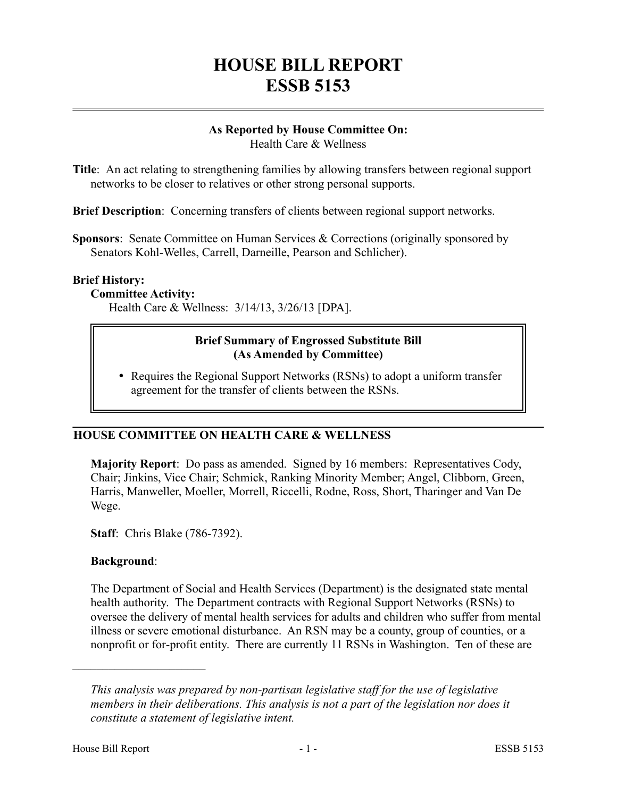# **HOUSE BILL REPORT ESSB 5153**

#### **As Reported by House Committee On:** Health Care & Wellness

**Title**: An act relating to strengthening families by allowing transfers between regional support networks to be closer to relatives or other strong personal supports.

**Brief Description**: Concerning transfers of clients between regional support networks.

**Sponsors**: Senate Committee on Human Services & Corrections (originally sponsored by Senators Kohl-Welles, Carrell, Darneille, Pearson and Schlicher).

#### **Brief History:**

# **Committee Activity:**

Health Care & Wellness: 3/14/13, 3/26/13 [DPA].

#### **Brief Summary of Engrossed Substitute Bill (As Amended by Committee)**

• Requires the Regional Support Networks (RSNs) to adopt a uniform transfer agreement for the transfer of clients between the RSNs.

# **HOUSE COMMITTEE ON HEALTH CARE & WELLNESS**

**Majority Report**: Do pass as amended. Signed by 16 members: Representatives Cody, Chair; Jinkins, Vice Chair; Schmick, Ranking Minority Member; Angel, Clibborn, Green, Harris, Manweller, Moeller, Morrell, Riccelli, Rodne, Ross, Short, Tharinger and Van De Wege.

**Staff**: Chris Blake (786-7392).

# **Background**:

––––––––––––––––––––––

The Department of Social and Health Services (Department) is the designated state mental health authority. The Department contracts with Regional Support Networks (RSNs) to oversee the delivery of mental health services for adults and children who suffer from mental illness or severe emotional disturbance. An RSN may be a county, group of counties, or a nonprofit or for-profit entity. There are currently 11 RSNs in Washington. Ten of these are

*This analysis was prepared by non-partisan legislative staff for the use of legislative members in their deliberations. This analysis is not a part of the legislation nor does it constitute a statement of legislative intent.*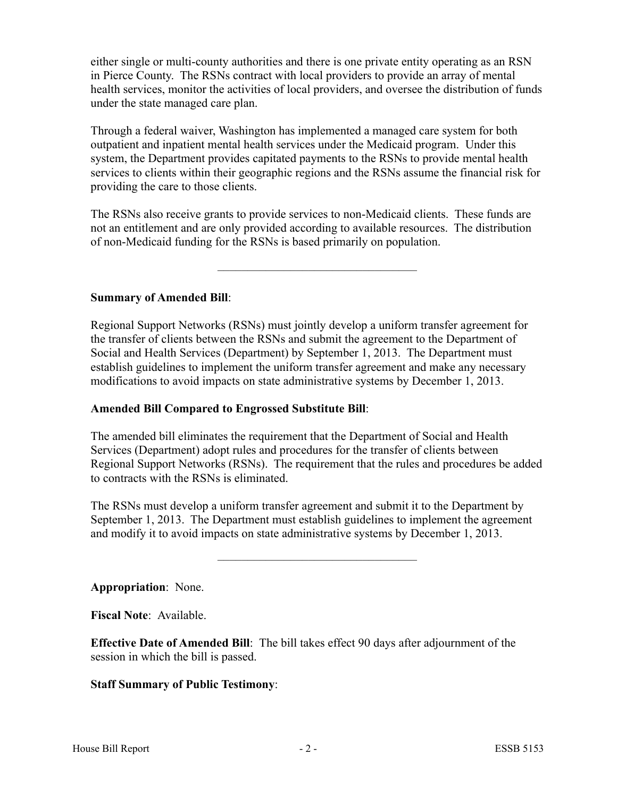either single or multi-county authorities and there is one private entity operating as an RSN in Pierce County. The RSNs contract with local providers to provide an array of mental health services, monitor the activities of local providers, and oversee the distribution of funds under the state managed care plan.

Through a federal waiver, Washington has implemented a managed care system for both outpatient and inpatient mental health services under the Medicaid program. Under this system, the Department provides capitated payments to the RSNs to provide mental health services to clients within their geographic regions and the RSNs assume the financial risk for providing the care to those clients.

The RSNs also receive grants to provide services to non-Medicaid clients. These funds are not an entitlement and are only provided according to available resources. The distribution of non-Medicaid funding for the RSNs is based primarily on population.

–––––––––––––––––––––––––––––––––

# **Summary of Amended Bill**:

Regional Support Networks (RSNs) must jointly develop a uniform transfer agreement for the transfer of clients between the RSNs and submit the agreement to the Department of Social and Health Services (Department) by September 1, 2013. The Department must establish guidelines to implement the uniform transfer agreement and make any necessary modifications to avoid impacts on state administrative systems by December 1, 2013.

# **Amended Bill Compared to Engrossed Substitute Bill**:

The amended bill eliminates the requirement that the Department of Social and Health Services (Department) adopt rules and procedures for the transfer of clients between Regional Support Networks (RSNs). The requirement that the rules and procedures be added to contracts with the RSNs is eliminated.

The RSNs must develop a uniform transfer agreement and submit it to the Department by September 1, 2013. The Department must establish guidelines to implement the agreement and modify it to avoid impacts on state administrative systems by December 1, 2013.

–––––––––––––––––––––––––––––––––

**Appropriation**: None.

**Fiscal Note**: Available.

**Effective Date of Amended Bill**: The bill takes effect 90 days after adjournment of the session in which the bill is passed.

# **Staff Summary of Public Testimony**: